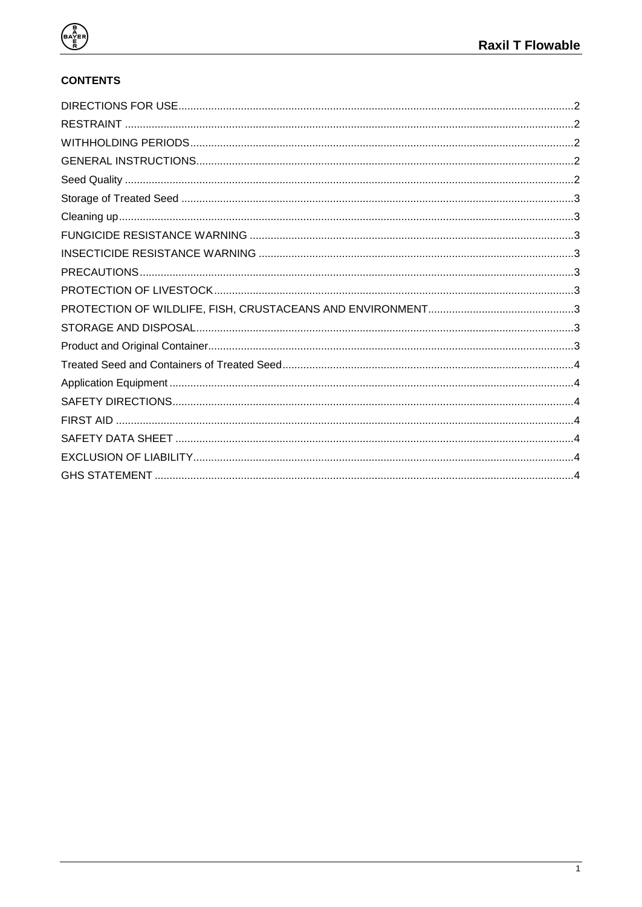

# **CONTENTS**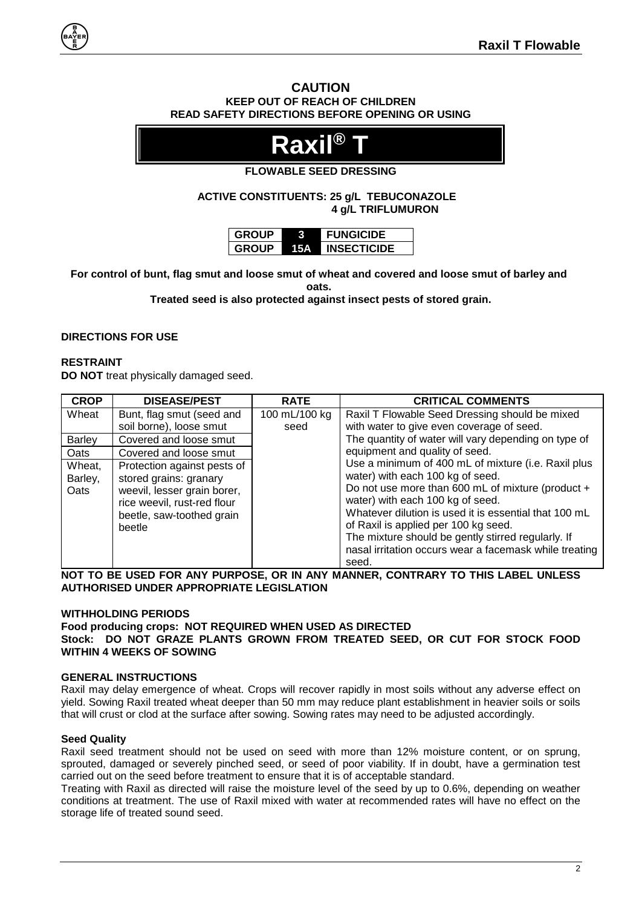# **CAUTION KEEP OUT OF REACH OF CHILDREN READ SAFETY DIRECTIONS BEFORE OPENING OR USING**



# **FLOWABLE SEED DRESSING**

**ACTIVE CONSTITUENTS: 25 g/L TEBUCONAZOLE 4 g/L TRIFLUMURON**

| <b>GROUP</b> |     | <b>FUNGICIDE</b>   |
|--------------|-----|--------------------|
| <b>GROUP</b> | 15А | <b>INSECTICIDE</b> |

**For control of bunt, flag smut and loose smut of wheat and covered and loose smut of barley and oats.**

**Treated seed is also protected against insect pests of stored grain.**

# <span id="page-1-0"></span>**DIRECTIONS FOR USE**

### <span id="page-1-1"></span>**RESTRAINT**

**DO NOT** treat physically damaged seed.

| <b>CROP</b>               | <b>DISEASE/PEST</b>                                                                                                                                        | <b>RATE</b>   | <b>CRITICAL COMMENTS</b>                                                                                                                                                                                                                                                                                                                                                                                   |
|---------------------------|------------------------------------------------------------------------------------------------------------------------------------------------------------|---------------|------------------------------------------------------------------------------------------------------------------------------------------------------------------------------------------------------------------------------------------------------------------------------------------------------------------------------------------------------------------------------------------------------------|
| Wheat                     | Bunt, flag smut (seed and                                                                                                                                  | 100 mL/100 kg | Raxil T Flowable Seed Dressing should be mixed                                                                                                                                                                                                                                                                                                                                                             |
|                           | soil borne), loose smut                                                                                                                                    | seed          | with water to give even coverage of seed.                                                                                                                                                                                                                                                                                                                                                                  |
| Barley                    | Covered and loose smut                                                                                                                                     |               | The quantity of water will vary depending on type of                                                                                                                                                                                                                                                                                                                                                       |
| Oats                      | Covered and loose smut                                                                                                                                     |               | equipment and quality of seed.                                                                                                                                                                                                                                                                                                                                                                             |
| Wheat,<br>Barley,<br>Oats | Protection against pests of<br>stored grains: granary<br>weevil, lesser grain borer,<br>rice weevil, rust-red flour<br>beetle, saw-toothed grain<br>beetle |               | Use a minimum of 400 mL of mixture (i.e. Raxil plus<br>water) with each 100 kg of seed.<br>Do not use more than 600 mL of mixture (product +<br>water) with each 100 kg of seed.<br>Whatever dilution is used it is essential that 100 mL<br>of Raxil is applied per 100 kg seed.<br>The mixture should be gently stirred regularly. If<br>nasal irritation occurs wear a facemask while treating<br>seed. |

**NOT TO BE USED FOR ANY PURPOSE, OR IN ANY MANNER, CONTRARY TO THIS LABEL UNLESS AUTHORISED UNDER APPROPRIATE LEGISLATION**

#### <span id="page-1-2"></span>**WITHHOLDING PERIODS**

**Food producing crops: NOT REQUIRED WHEN USED AS DIRECTED Stock: DO NOT GRAZE PLANTS GROWN FROM TREATED SEED, OR CUT FOR STOCK FOOD WITHIN 4 WEEKS OF SOWING**

#### <span id="page-1-3"></span>**GENERAL INSTRUCTIONS**

Raxil may delay emergence of wheat. Crops will recover rapidly in most soils without any adverse effect on yield. Sowing Raxil treated wheat deeper than 50 mm may reduce plant establishment in heavier soils or soils that will crust or clod at the surface after sowing. Sowing rates may need to be adjusted accordingly.

# <span id="page-1-4"></span>**Seed Quality**

Raxil seed treatment should not be used on seed with more than 12% moisture content, or on sprung, sprouted, damaged or severely pinched seed, or seed of poor viability. If in doubt, have a germination test carried out on the seed before treatment to ensure that it is of acceptable standard.

Treating with Raxil as directed will raise the moisture level of the seed by up to 0.6%, depending on weather conditions at treatment. The use of Raxil mixed with water at recommended rates will have no effect on the storage life of treated sound seed.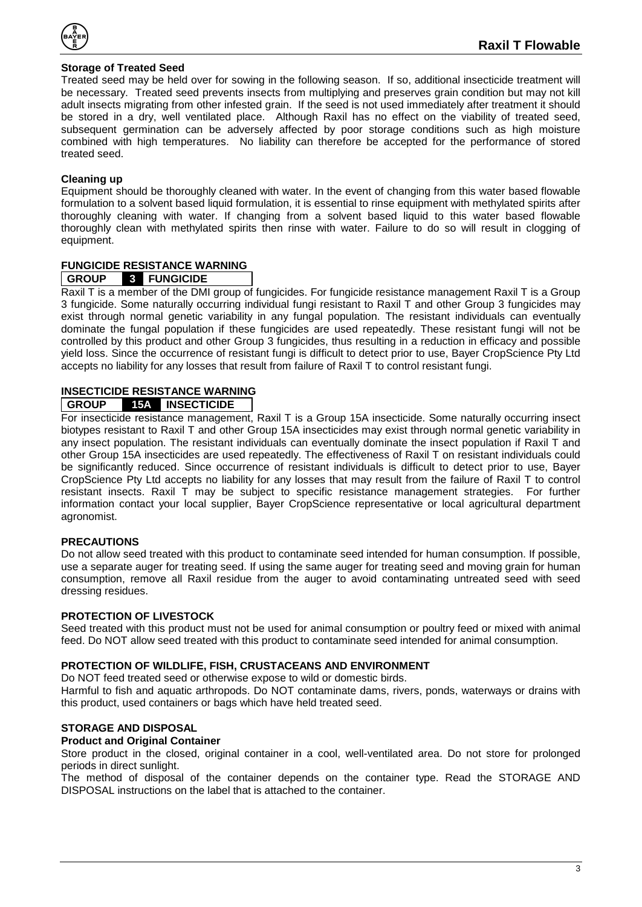

# <span id="page-2-0"></span>**Storage of Treated Seed**

Treated seed may be held over for sowing in the following season. If so, additional insecticide treatment will be necessary. Treated seed prevents insects from multiplying and preserves grain condition but may not kill adult insects migrating from other infested grain. If the seed is not used immediately after treatment it should be stored in a dry, well ventilated place. Although Raxil has no effect on the viability of treated seed, subsequent germination can be adversely affected by poor storage conditions such as high moisture combined with high temperatures. No liability can therefore be accepted for the performance of stored treated seed.

# <span id="page-2-1"></span>**Cleaning up**

Equipment should be thoroughly cleaned with water. In the event of changing from this water based flowable formulation to a solvent based liquid formulation, it is essential to rinse equipment with methylated spirits after thoroughly cleaning with water. If changing from a solvent based liquid to this water based flowable thoroughly clean with methylated spirits then rinse with water. Failure to do so will result in clogging of equipment.

# <span id="page-2-2"></span>**FUNGICIDE RESISTANCE WARNING**

### **GROUP 3 FUNGICIDE**

Raxil T is a member of the DMI group of fungicides. For fungicide resistance management Raxil T is a Group 3 fungicide. Some naturally occurring individual fungi resistant to Raxil T and other Group 3 fungicides may exist through normal genetic variability in any fungal population. The resistant individuals can eventually dominate the fungal population if these fungicides are used repeatedly. These resistant fungi will not be controlled by this product and other Group 3 fungicides, thus resulting in a reduction in efficacy and possible yield loss. Since the occurrence of resistant fungi is difficult to detect prior to use, Bayer CropScience Pty Ltd accepts no liability for any losses that result from failure of Raxil T to control resistant fungi.

# <span id="page-2-3"></span>**INSECTICIDE RESISTANCE WARNING**

# **GROUP 15A INSECTICIDE**

For insecticide resistance management, Raxil T is a Group 15A insecticide. Some naturally occurring insect biotypes resistant to Raxil T and other Group 15A insecticides may exist through normal genetic variability in any insect population. The resistant individuals can eventually dominate the insect population if Raxil T and other Group 15A insecticides are used repeatedly. The effectiveness of Raxil T on resistant individuals could be significantly reduced. Since occurrence of resistant individuals is difficult to detect prior to use, Bayer CropScience Pty Ltd accepts no liability for any losses that may result from the failure of Raxil T to control resistant insects. Raxil T may be subject to specific resistance management strategies. For further information contact your local supplier, Bayer CropScience representative or local agricultural department agronomist.

#### <span id="page-2-4"></span>**PRECAUTIONS**

Do not allow seed treated with this product to contaminate seed intended for human consumption. If possible, use a separate auger for treating seed. If using the same auger for treating seed and moving grain for human consumption, remove all Raxil residue from the auger to avoid contaminating untreated seed with seed dressing residues.

#### <span id="page-2-5"></span>**PROTECTION OF LIVESTOCK**

Seed treated with this product must not be used for animal consumption or poultry feed or mixed with animal feed. Do NOT allow seed treated with this product to contaminate seed intended for animal consumption.

### <span id="page-2-6"></span>**PROTECTION OF WILDLIFE, FISH, CRUSTACEANS AND ENVIRONMENT**

Do NOT feed treated seed or otherwise expose to wild or domestic birds.

Harmful to fish and aquatic arthropods. Do NOT contaminate dams, rivers, ponds, waterways or drains with this product, used containers or bags which have held treated seed.

#### <span id="page-2-7"></span>**STORAGE AND DISPOSAL**

#### <span id="page-2-8"></span>**Product and Original Container**

Store product in the closed, original container in a cool, well-ventilated area. Do not store for prolonged periods in direct sunlight.

The method of disposal of the container depends on the container type. Read the STORAGE AND DISPOSAL instructions on the label that is attached to the container.